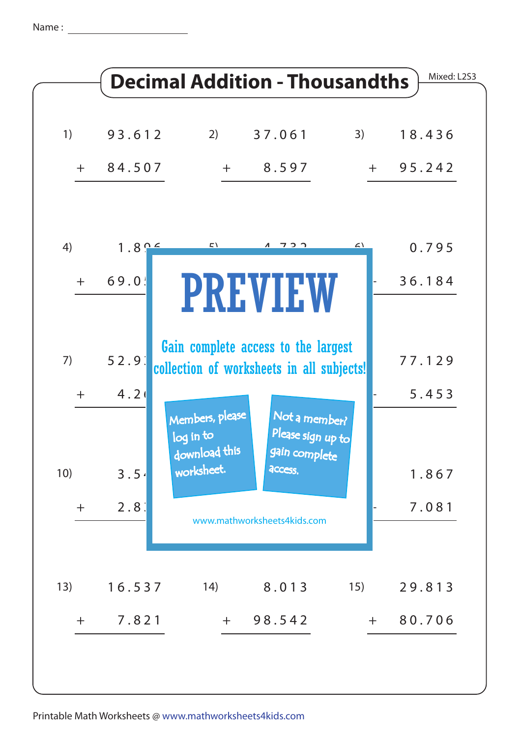Name :